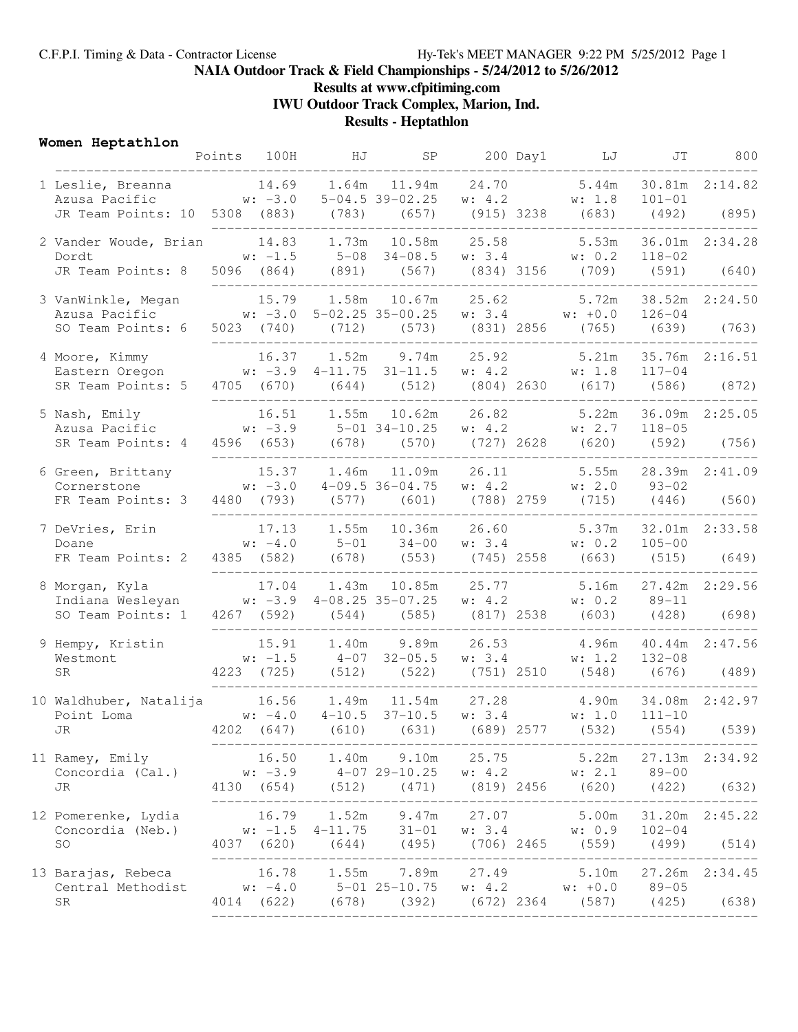# **NAIA Outdoor Track & Field Championships - 5/24/2012 to 5/26/2012**

## **Results at www.cfpitiming.com**

**IWU Outdoor Track Complex, Marion, Ind.**

## **Results - Heptathlon**

### **Women Heptathlon**

|  |                                                                                                                                                                                         | Points 100H | HJ                          |                                                                                                                                                                                                                   |  | SP 200 Day1 LJ           | JT                                 | 800            |
|--|-----------------------------------------------------------------------------------------------------------------------------------------------------------------------------------------|-------------|-----------------------------|-------------------------------------------------------------------------------------------------------------------------------------------------------------------------------------------------------------------|--|--------------------------|------------------------------------|----------------|
|  | 1 Leslie, Breanna 14.69 1.64m 11.94m 24.70 5.44m<br>Azusa Pacific $w: -3.0$ 5-04.5 39-02.25 $w: 4.2$ $w: 1.8$<br>JR Team Points: 10 5308 (883) (783) (657) (915) 3238 (683) (492) (895) |             |                             |                                                                                                                                                                                                                   |  |                          | $101 - 01$                         | 30.81m 2:14.82 |
|  | 2 Vander Woude, Brian 14.83 1.73m 10.58m 25.58 5.53m 36.01m 2:34.28<br>Dordt<br>JR Team Points: 8 5096 (864) (891) (567) (834) 3156 (709) (591) (640)                                   |             | --------------------------- | w: $-1.5$ 5-08 34-08.5 w: 3.4 w: 0.2 118-02                                                                                                                                                                       |  |                          |                                    |                |
|  |                                                                                                                                                                                         |             |                             |                                                                                                                                                                                                                   |  |                          |                                    |                |
|  | 3 VanWinkle, Megan<br>Azusa Pacific<br>SO Team Points: 6                                                                                                                                |             |                             | 15.79   1.58m   10.67m   25.62<br>w: $-3.0$ 5-02.25 35-00.25 w: 3.4 w: +0.0<br>5023 (740) (712) (573) (831) 2856 (765) (639) (763)                                                                                |  | 5.72m                    | $126 - 04$                         | 38.52m 2:24.50 |
|  |                                                                                                                                                                                         |             |                             |                                                                                                                                                                                                                   |  |                          |                                    |                |
|  | 4 Moore, Kimmy 16.37 1.52m 9.74m 25.92 5.21m 35.76m 2:16.51<br>Eastern Oregon w: -3.9 4-11.75 31-11.5 w: 4.2 w: 1.8                                                                     |             |                             |                                                                                                                                                                                                                   |  |                          | $117 - 04$                         |                |
|  | SR Team Points: 5 4705 (670) (644) (512) (804) 2630 (617) (586) (872)                                                                                                                   |             |                             |                                                                                                                                                                                                                   |  |                          |                                    |                |
|  | 5 Nash, Emily<br>SR Team Points: 4                                                                                                                                                      |             |                             | 4596 (653) (678) (570) (727) 2628 (620) (592) (756)                                                                                                                                                               |  |                          |                                    |                |
|  | 6 Green, Brittany<br>Cornerstone                                                                                                                                                        |             |                             | 15.37    1.46m    11.09m    26.11<br>w: $-3.0$ 4-09.5 36-04.75 w: 4.2 w: 2.0 93-02                                                                                                                                |  |                          | 5.55m 28.39m 2:41.09               |                |
|  | FR Team Points: 3                                                                                                                                                                       |             | ________________________    | 4480 (793) (577) (601) (788) 2759 (715) (446) (560)                                                                                                                                                               |  | ________________________ |                                    |                |
|  | 7 DeVries, Erin<br>Doane<br>FR Team Points: 2                                                                                                                                           |             |                             | 17.13 1.55m 10.36m 26.60 5.37m 32.01m 2:33.58<br>w: $-4.0$ 5-01 34-00 w: 3.4 w: 0.2 105-00<br>4385 (582) (678) (553) (745) 2558 (663) (515) (649)                                                                 |  |                          |                                    |                |
|  | 8 Morgan, Kyla<br>Indiana Wesleyan w: -3.9 4-08.25 35-07.25 w: 4.2 w: 0.2 89-11<br>SO Team Points: 1                                                                                    |             |                             | 17.04  1.43m  10.85m  25.77  5.16m  27.42m  2:29.56<br>4267 (592) (544) (585) (817) 2538 (603) (428) (698)                                                                                                        |  |                          |                                    |                |
|  |                                                                                                                                                                                         |             |                             |                                                                                                                                                                                                                   |  |                          |                                    |                |
|  | 9 Hempy, Kristin<br>Westmont<br><b>SR</b>                                                                                                                                               |             |                             | 15.91   1.40m   9.89m   26.53   4.96m<br>w: -1.5   4-07   32-05.5   w:3.4   w:1.2<br>4223 (725) (512) (522) (751) 2510 (548) (676) (489)                                                                          |  |                          | 4.96m 40.44m 2:47.56<br>$132 - 08$ |                |
|  | 10 Waldhuber, Natalija 16.56 1.49m 11.54m 27.28 4.90m 34.08m 2:42.97<br>Point Loma<br>W: -4.0 4-10.5 37-10.5 w: 3.4 w: 1.0<br>JR 4202 (647) (610) (631) (689) 2577 (532)                |             |                             |                                                                                                                                                                                                                   |  | (689) 2577 (532)         | $111 - 10$<br>(554)                | (539)          |
|  | 11 Ramey, Emily<br>Concordia (Cal.)<br>JR                                                                                                                                               |             |                             | 16.50 1.40m 9.10m 25.75 5.22m 27.13m 2:34.92<br>w: $-3.9$ $4-07$ $29-10.25$ w: $4.2$ w: $2.1$ $89-00$<br>4130 (654) (512) (471) (819) 2456 (620) (422) (632)                                                      |  |                          |                                    |                |
|  |                                                                                                                                                                                         |             |                             |                                                                                                                                                                                                                   |  |                          |                                    |                |
|  | 12 Pomerenke, Lydia<br>Concordia (Neb.)<br>SO                                                                                                                                           |             |                             | 16.79    1.52m    9.47m    27.07    5.00m    31.20m    2:45.22<br>w: -1.5    4-11.75     31-01     w:3.4     w:0.9    102-04<br>4037    (620)     (644)     (495)     (706)     2465    (559)     (499)     (514) |  |                          |                                    |                |
|  | 13 Barajas, Rebeca<br>Central Methodist w: -4.0 5-01 25-10.75 w: 4.2 w: +0.0 89-05<br><b>SR</b>                                                                                         |             |                             | 16.78  1.55m  7.89m  27.49  5.10m  27.26m  2:34.45<br>4014 (622) (678) (392) (672) 2364 (587) (425) (638)                                                                                                         |  |                          |                                    |                |
|  |                                                                                                                                                                                         |             |                             |                                                                                                                                                                                                                   |  |                          |                                    |                |